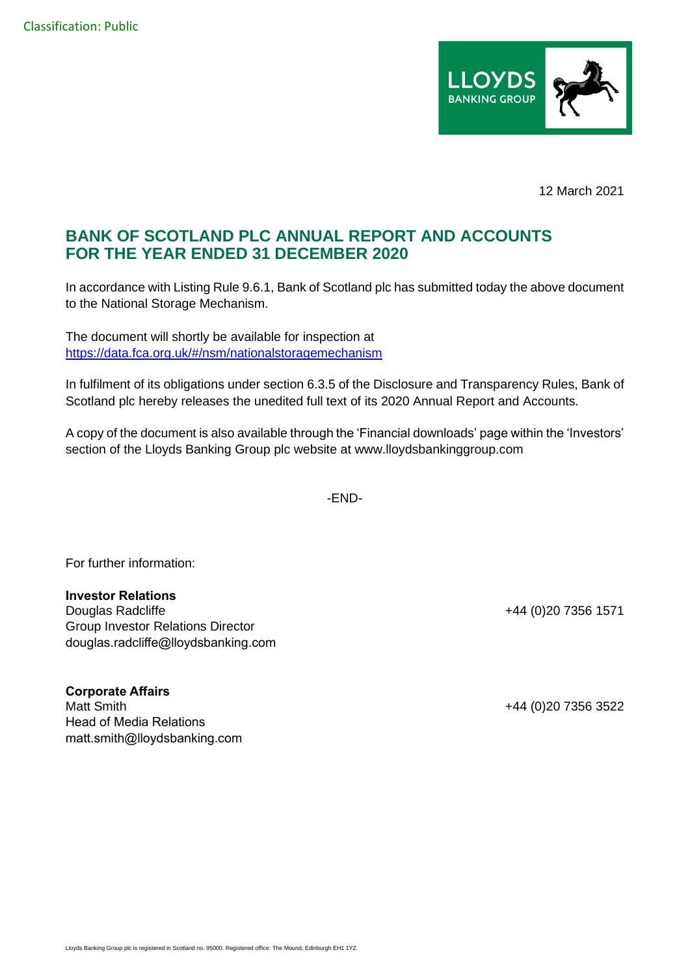

12 March 2021

## **BANK OF SCOTLAND PLC ANNUAL REPORT AND ACCOUNTS FOR THE YEAR ENDED 31 DECEMBER 2020**

In accordance with Listing Rule 9.6.1, Bank of Scotland plc has submitted today the above document to the National Storage Mechanism.

The document will shortly be available for inspection at [https://data.fca.org.uk/#/nsm/nationalstoragemechanism](https://eur02.safelinks.protection.outlook.com/?url=https%3A%2F%2Fdata.fca.org.uk%2F%23%2Fnsm%2Fnationalstoragemechanism&data=04%7C01%7CHannah.Boore%40lloydsbanking.com%7Cf478194d493f4e2a726008d8da6543d3%7C3ded2960214a46ff8cf4611f125e2398%7C0%7C0%7C637499475745921990%7CUnknown%7CTWFpbGZsb3d8eyJWIjoiMC4wLjAwMDAiLCJQIjoiV2luMzIiLCJBTiI6Ik1haWwiLCJXVCI6Mn0%3D%7C1000&sdata=HKhpYPA9fSsjBwiR9NG1EHWMP7vx2WpuAJN%2B%2Fq4Pee0%3D&reserved=0)

In fulfilment of its obligations under section 6.3.5 of the Disclosure and Transparency Rules, Bank of Scotland plc hereby releases the unedited full text of its 2020 Annual Report and Accounts.

A copy of the document is also available through the 'Financial downloads' page within the 'Investors' section of the Lloyds Banking Group plc website at www.lloydsbankinggroup.com

-END-

For further information:

## **Investor Relations**

Douglas Radcliffe **+44** (0)20 7356 1571 Group Investor Relations Director douglas.radcliffe@lloydsbanking.com

**Corporate Affairs** Matt Smith +44 (0)20 7356 3522 Head of Media Relations matt.smith@lloydsbanking.com